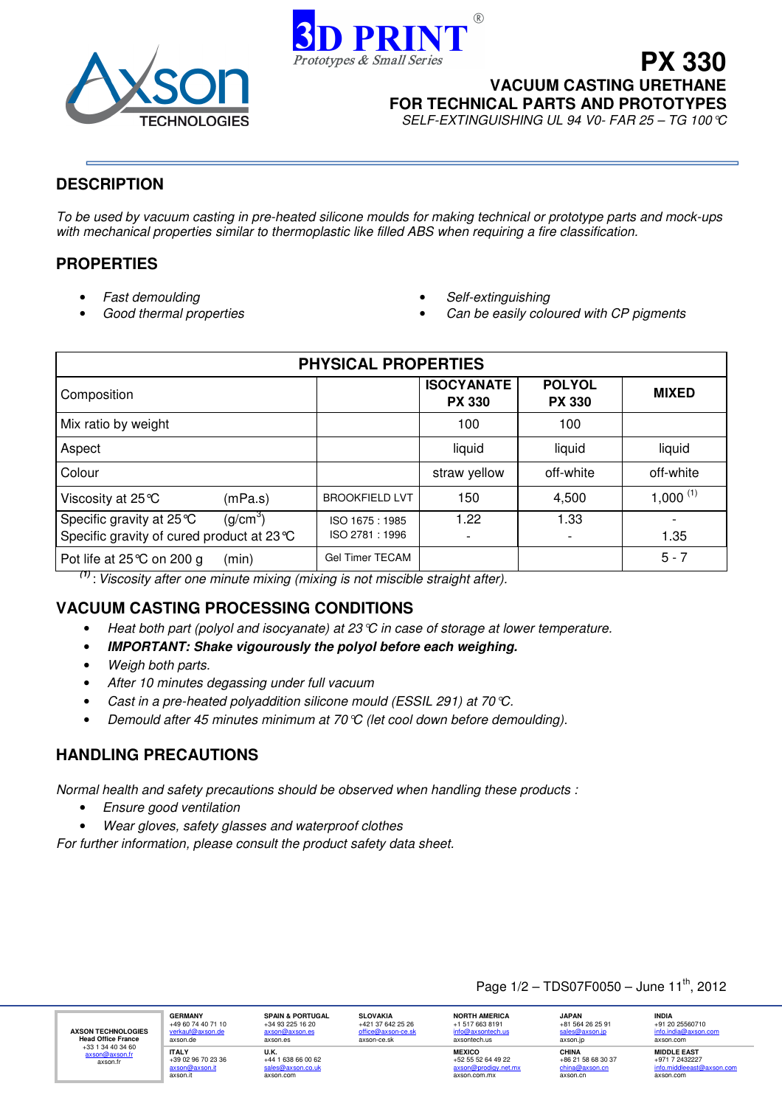



**VACUUM CASTING URETHANE**

**PX 330**

**FOR TECHNICAL PARTS AND PROTOTYPES**

SELF-EXTINGUISHING UL 94 V0- FAR 25 – TG 100°C

## **DESCRIPTION**

To be used by vacuum casting in pre-heated silicone moulds for making technical or prototype parts and mock-ups with mechanical properties similar to thermoplastic like filled ABS when requiring a fire classification.

## **PROPERTIES**

- Fast demoulding
- Good thermal properties
- Self-extinguishing
- Can be easily coloured with CP pigments

| <b>PHYSICAL PROPERTIES</b>                                                                    |                                 |                                    |                                |              |
|-----------------------------------------------------------------------------------------------|---------------------------------|------------------------------------|--------------------------------|--------------|
| Composition                                                                                   |                                 | <b>ISOCYANATE</b><br><b>PX 330</b> | <b>POLYOL</b><br><b>PX 330</b> | <b>MIXED</b> |
| Mix ratio by weight                                                                           |                                 | 100                                | 100                            |              |
| Aspect                                                                                        |                                 | liquid                             | liquid                         | liquid       |
| Colour                                                                                        |                                 | straw yellow                       | off-white                      | off-white    |
| Viscosity at 25 ℃<br>(mPa.s)                                                                  | <b>BROOKFIELD LVT</b>           | 150                                | 4,500                          | 1,000 $(1)$  |
| Specific gravity at 25 ℃<br>(g/cm <sup>3</sup> )<br>Specific gravity of cured product at 23 ℃ | ISO 1675: 1985<br>ISO 2781:1996 | 1.22                               | 1.33                           | 1.35         |
| Pot life at 25℃ on 200 g<br>(min)                                                             | <b>Gel Timer TECAM</b>          |                                    |                                | $5 - 7$      |

**(1)** : Viscosity after one minute mixing (mixing is not miscible straight after).

# **VACUUM CASTING PROCESSING CONDITIONS**

- Heat both part (polyol and isocyanate) at 23 °C in case of storage at lower temperature.
- **IMPORTANT: Shake vigourously the polyol before each weighing.**
- Weigh both parts.
- After 10 minutes degassing under full vacuum
- Cast in a pre-heated polyaddition silicone mould (ESSIL 291) at 70°C.
- Demould after 45 minutes minimum at 70  $\mathfrak{C}$  (let cool down before demoulding).

# **HANDLING PRECAUTIONS**

Normal health and safety precautions should be observed when handling these products :

- Ensure good ventilation
- Wear gloves, safety glasses and waterproof clothes

For further information, please consult the product safety data sheet.

## Page  $1/2$  – TDS07F0050 – June  $11^{th}$ , 2012

**AXSON TECHNOLOGIES Head Office France**  +33 1 34 40 34 60 axson@axson.fr axson.fr

<mark>verkaur@</mark><br>axson.de **ITALY** +39 02 96 70 23 36 <mark>axson@axson.it</mark><br>axson.it

**GERMANY**<br>+49 60 74 40 71 10<br><u>verkauf@axson.de</u>

**U.K.** +44 1 638 66 00 62 sales@axson.co.uk  $\overline{com}$ 

**SPAIN & PORTUGAL** +34 93 225 16 20 <mark>axson@axson.es</mark><br>axson.es

**SLOVAKIA** +421 37 642 25 26 office@axson-ce.sk axson-ce.sk

**NORTH AMERICA**<br>+1 517 663 8191<br><u>info@axsontech.us</u> axsontech.us **MEXICO** +52 55 52 64 49 22

axson@prodigy.net.mx axson.com.mx

**JAPAN** +81 564 26 25 91 <mark>sales@axson.jp</mark><br>axson.jp **CHINA** +86 21 58 68 30 37

<mark>china@axson.cn</mark><br>axson.cn

**INDIA**<br>+91 20 25560710<br><u>info.india@axson.com</u> axson.com **MIDDLE EAST**

et@axson.com

+971 7 2432227<br>info middlesset@

axson.com